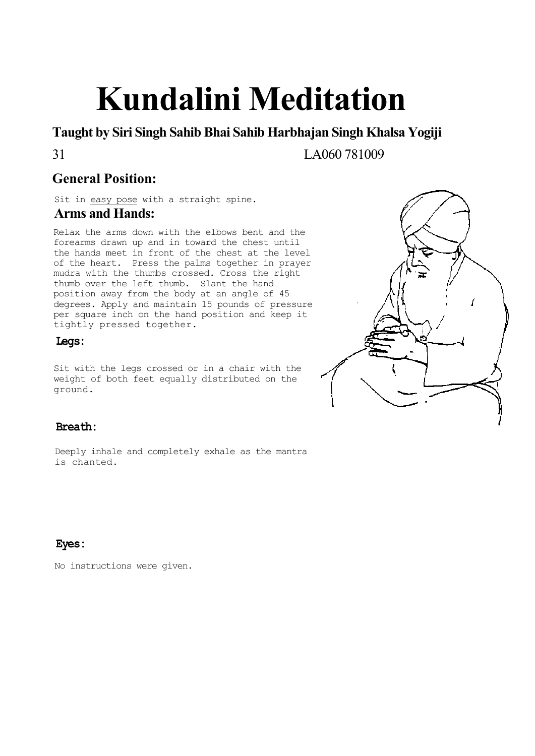# **Kundalini Meditation**

**Taught by Siri Singh Sahib Bhai Sahib Harbhajan Singh Khalsa Yogiji**

31 LA060 781009

# **General Position:**

Sit in easy pose with a straight spine. **Arms and Hands:**

Relax the arms down with the elbows bent and the forearms drawn up and in toward the chest until the hands meet in front of the chest at the level of the heart. Press the palms together in prayer mudra with the thumbs crossed. Cross the right thumb over the left thumb. Slant the hand position away from the body at an angle of 45 degrees. Apply and maintain 15 pounds of pressure per square inch on the hand position and keep it tightly pressed together.

### **Legs:**

Sit with the legs crossed or in a chair with the weight of both feet equally distributed on the ground.



### **Breath:**

Deeply inhale and completely exhale as the mantra is chanted.

### **Eyes:**

No instructions were given.